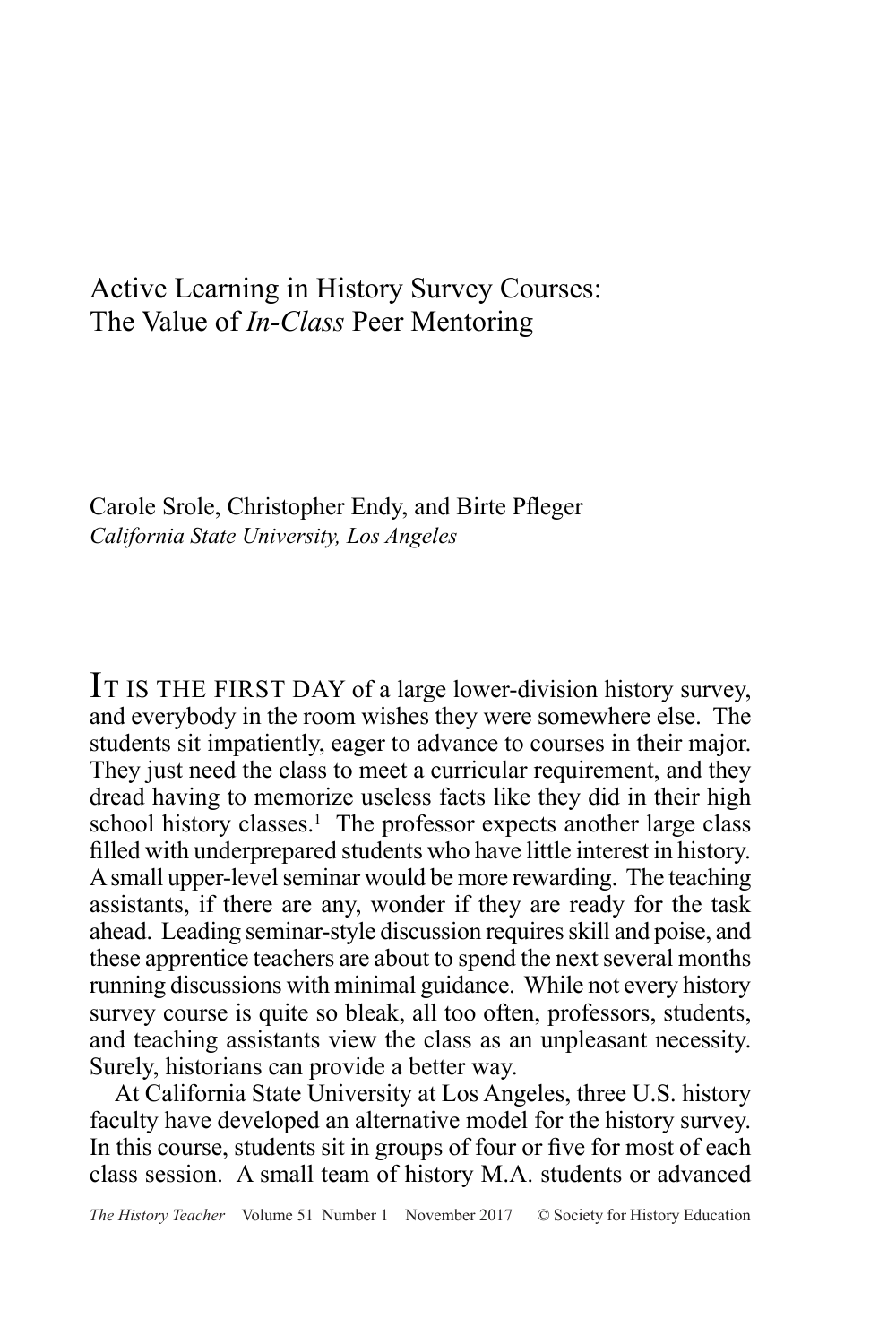# Active Learning in History Survey Courses: The Value of *In-Class* Peer Mentoring

Carole Srole, Christopher Endy, and Birte Pfleger *California State University, Los Angeles*

IT IS THE FIRST DAY of a large lower-division history survey, and everybody in the room wishes they were somewhere else. The students sit impatiently, eager to advance to courses in their major. They just need the class to meet a curricular requirement, and they dread having to memorize useless facts like they did in their high school history classes.<sup>1</sup> The professor expects another large class filled with underprepared students who have little interest in history. A small upper-level seminar would be more rewarding. The teaching assistants, if there are any, wonder if they are ready for the task ahead. Leading seminar-style discussion requires skill and poise, and these apprentice teachers are about to spend the next several months running discussions with minimal guidance. While not every history survey course is quite so bleak, all too often, professors, students, and teaching assistants view the class as an unpleasant necessity. Surely, historians can provide a better way.

At California State University at Los Angeles, three U.S. history faculty have developed an alternative model for the history survey. In this course, students sit in groups of four or five for most of each class session. A small team of history M.A. students or advanced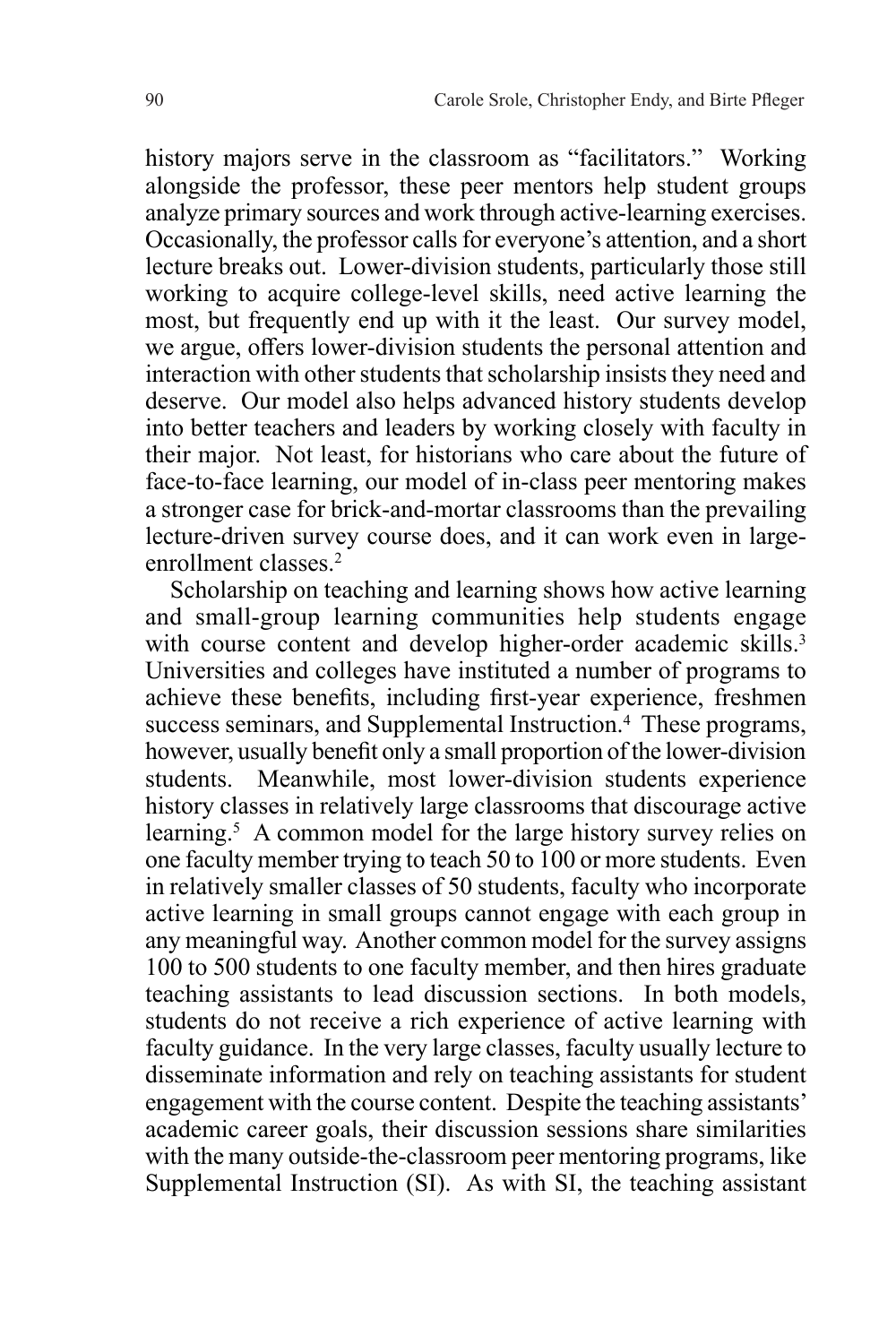history majors serve in the classroom as "facilitators." Working alongside the professor, these peer mentors help student groups analyze primary sources and work through active-learning exercises. Occasionally, the professor calls for everyone's attention, and a short lecture breaks out. Lower-division students, particularly those still working to acquire college-level skills, need active learning the most, but frequently end up with it the least. Our survey model, we argue, offers lower-division students the personal attention and interaction with other students that scholarship insists they need and deserve. Our model also helps advanced history students develop into better teachers and leaders by working closely with faculty in their major. Not least, for historians who care about the future of face-to-face learning, our model of in-class peer mentoring makes a stronger case for brick-and-mortar classrooms than the prevailing lecture-driven survey course does, and it can work even in largeenrollment classes.2

Scholarship on teaching and learning shows how active learning and small-group learning communities help students engage with course content and develop higher-order academic skills.<sup>3</sup> Universities and colleges have instituted a number of programs to achieve these benefits, including first-year experience, freshmen success seminars, and Supplemental Instruction.<sup>4</sup> These programs, however, usually benefit only a small proportion of the lower-division students. Meanwhile, most lower-division students experience history classes in relatively large classrooms that discourage active learning.<sup>5</sup> A common model for the large history survey relies on one faculty member trying to teach 50 to 100 or more students. Even in relatively smaller classes of 50 students, faculty who incorporate active learning in small groups cannot engage with each group in any meaningful way. Another common model for the survey assigns 100 to 500 students to one faculty member, and then hires graduate teaching assistants to lead discussion sections. In both models, students do not receive a rich experience of active learning with faculty guidance. In the very large classes, faculty usually lecture to disseminate information and rely on teaching assistants for student engagement with the course content. Despite the teaching assistants' academic career goals, their discussion sessions share similarities with the many outside-the-classroom peer mentoring programs, like Supplemental Instruction (SI). As with SI, the teaching assistant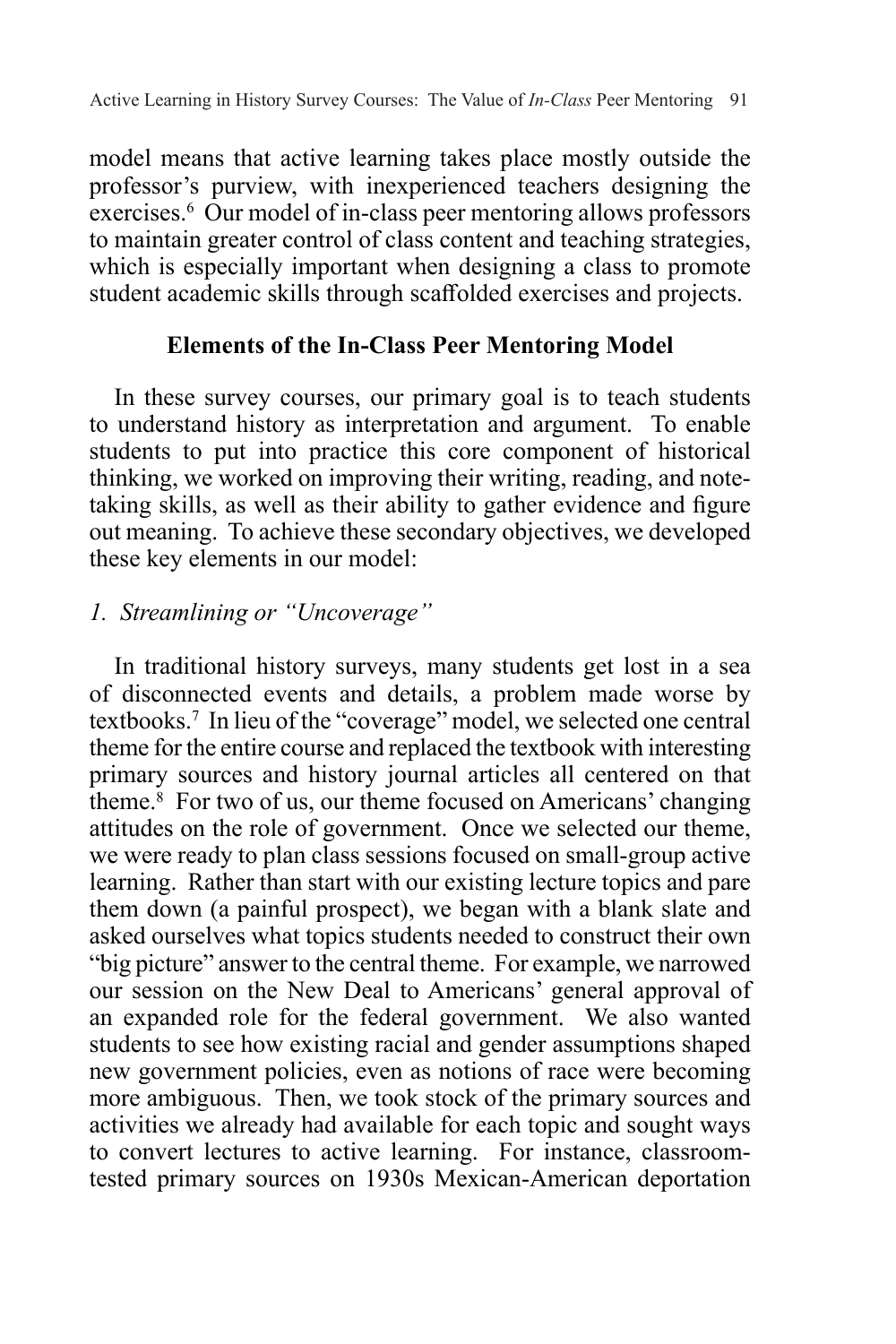model means that active learning takes place mostly outside the professor's purview, with inexperienced teachers designing the exercises.<sup>6</sup> Our model of in-class peer mentoring allows professors to maintain greater control of class content and teaching strategies, which is especially important when designing a class to promote student academic skills through scaffolded exercises and projects.

# **Elements of the In-Class Peer Mentoring Model**

In these survey courses, our primary goal is to teach students to understand history as interpretation and argument. To enable students to put into practice this core component of historical thinking, we worked on improving their writing, reading, and notetaking skills, as well as their ability to gather evidence and figure out meaning. To achieve these secondary objectives, we developed these key elements in our model:

# *1. Streamlining or "Uncoverage"*

In traditional history surveys, many students get lost in a sea of disconnected events and details, a problem made worse by textbooks.7 In lieu of the "coverage" model, we selected one central theme for the entire course and replaced the textbook with interesting primary sources and history journal articles all centered on that theme.8 For two of us, our theme focused on Americans' changing attitudes on the role of government. Once we selected our theme, we were ready to plan class sessions focused on small-group active learning. Rather than start with our existing lecture topics and pare them down (a painful prospect), we began with a blank slate and asked ourselves what topics students needed to construct their own "big picture" answer to the central theme. For example, we narrowed our session on the New Deal to Americans' general approval of an expanded role for the federal government. We also wanted students to see how existing racial and gender assumptions shaped new government policies, even as notions of race were becoming more ambiguous. Then, we took stock of the primary sources and activities we already had available for each topic and sought ways to convert lectures to active learning. For instance, classroomtested primary sources on 1930s Mexican-American deportation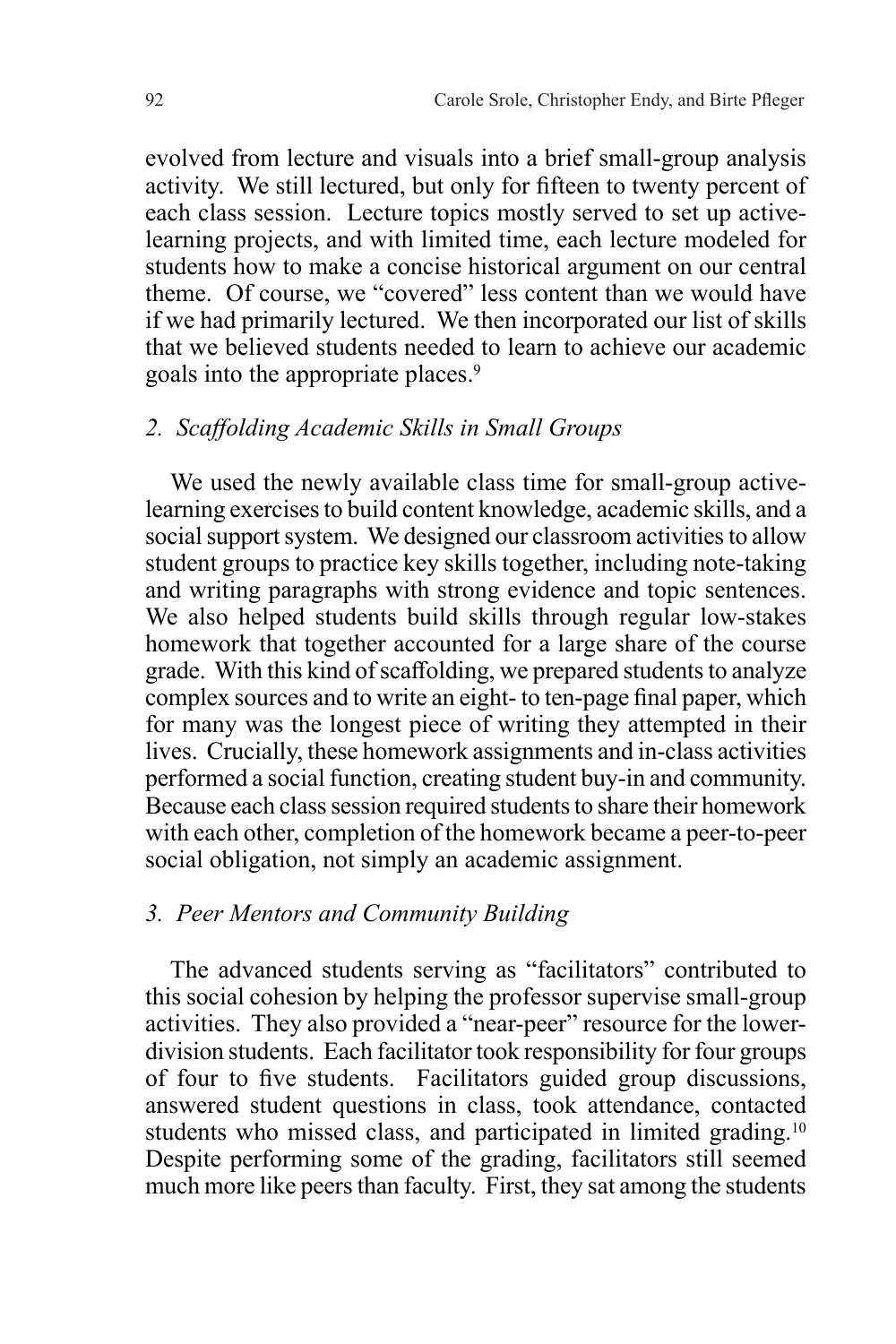evolved from lecture and visuals into a brief small-group analysis activity. We still lectured, but only for fifteen to twenty percent of each class session. Lecture topics mostly served to set up activelearning projects, and with limited time, each lecture modeled for students how to make a concise historical argument on our central theme. Of course, we "covered" less content than we would have if we had primarily lectured. We then incorporated our list of skills that we believed students needed to learn to achieve our academic goals into the appropriate places.9

# *2. Scaffolding Academic Skills in Small Groups*

We used the newly available class time for small-group activelearning exercises to build content knowledge, academic skills, and a social support system. We designed our classroom activities to allow student groups to practice key skills together, including note-taking and writing paragraphs with strong evidence and topic sentences. We also helped students build skills through regular low-stakes homework that together accounted for a large share of the course grade. With this kind of scaffolding, we prepared students to analyze complex sources and to write an eight- to ten-page final paper, which for many was the longest piece of writing they attempted in their lives. Crucially, these homework assignments and in-class activities performed a social function, creating student buy-in and community. Because each class session required students to share their homework with each other, completion of the homework became a peer-to-peer social obligation, not simply an academic assignment.

## *3. Peer Mentors and Community Building*

The advanced students serving as "facilitators" contributed to this social cohesion by helping the professor supervise small-group activities. They also provided a "near-peer" resource for the lowerdivision students. Each facilitator took responsibility for four groups of four to five students. Facilitators guided group discussions, answered student questions in class, took attendance, contacted students who missed class, and participated in limited grading.<sup>10</sup> Despite performing some of the grading, facilitators still seemed much more like peers than faculty. First, they sat among the students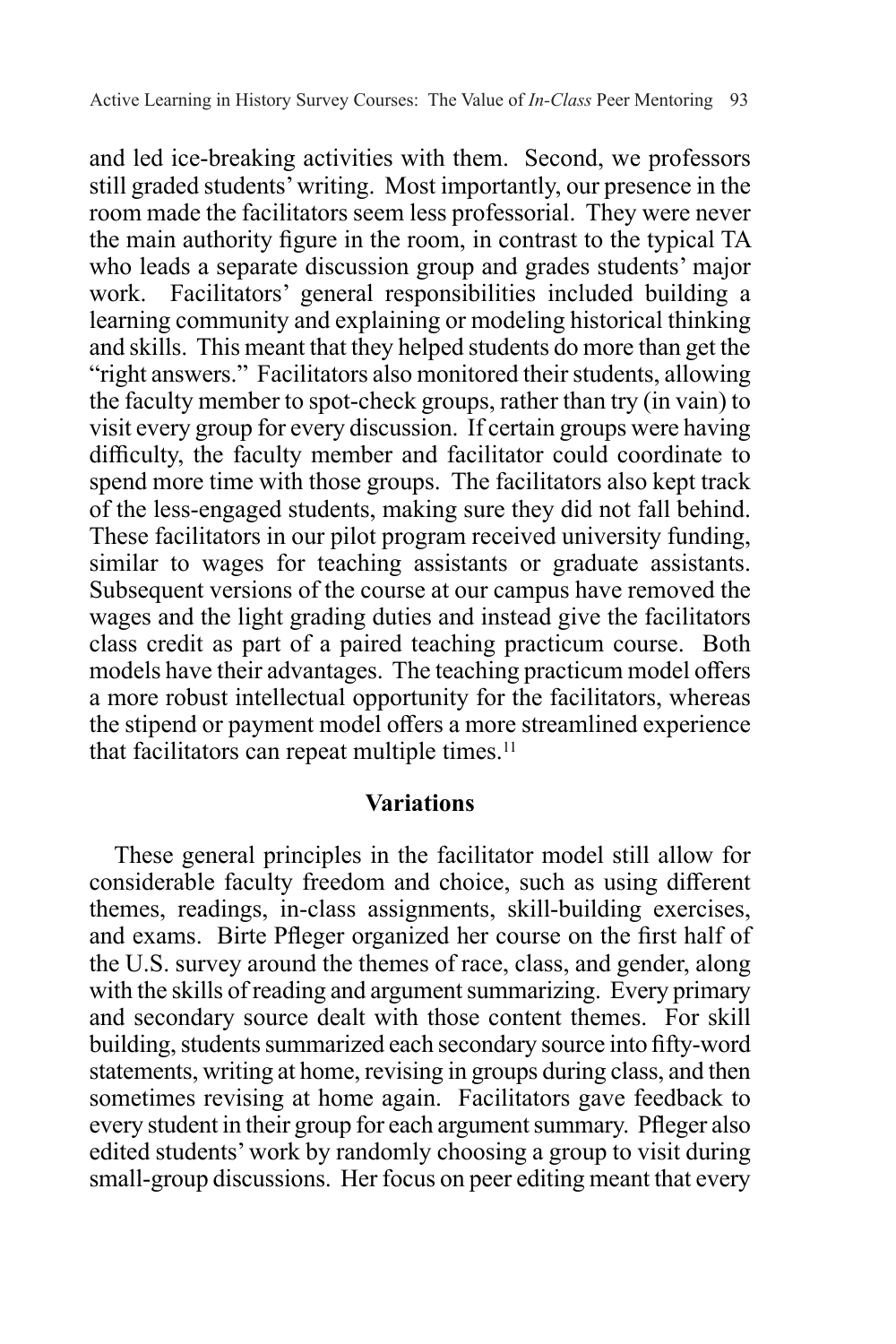and led ice-breaking activities with them. Second, we professors still graded students' writing. Most importantly, our presence in the room made the facilitators seem less professorial. They were never the main authority figure in the room, in contrast to the typical TA who leads a separate discussion group and grades students' major work. Facilitators' general responsibilities included building a learning community and explaining or modeling historical thinking and skills. This meant that they helped students do more than get the "right answers." Facilitators also monitored their students, allowing the faculty member to spot-check groups, rather than try (in vain) to visit every group for every discussion. If certain groups were having difficulty, the faculty member and facilitator could coordinate to spend more time with those groups. The facilitators also kept track of the less-engaged students, making sure they did not fall behind. These facilitators in our pilot program received university funding, similar to wages for teaching assistants or graduate assistants. Subsequent versions of the course at our campus have removed the wages and the light grading duties and instead give the facilitators class credit as part of a paired teaching practicum course. Both models have their advantages. The teaching practicum model offers a more robust intellectual opportunity for the facilitators, whereas the stipend or payment model offers a more streamlined experience that facilitators can repeat multiple times.<sup>11</sup>

#### **Variations**

These general principles in the facilitator model still allow for considerable faculty freedom and choice, such as using different themes, readings, in-class assignments, skill-building exercises, and exams. Birte Pfleger organized her course on the first half of the U.S. survey around the themes of race, class, and gender, along with the skills of reading and argument summarizing. Every primary and secondary source dealt with those content themes. For skill building, students summarized each secondary source into fifty-word statements, writing at home, revising in groups during class, and then sometimes revising at home again. Facilitators gave feedback to every student in their group for each argument summary. Pfleger also edited students' work by randomly choosing a group to visit during small-group discussions. Her focus on peer editing meant that every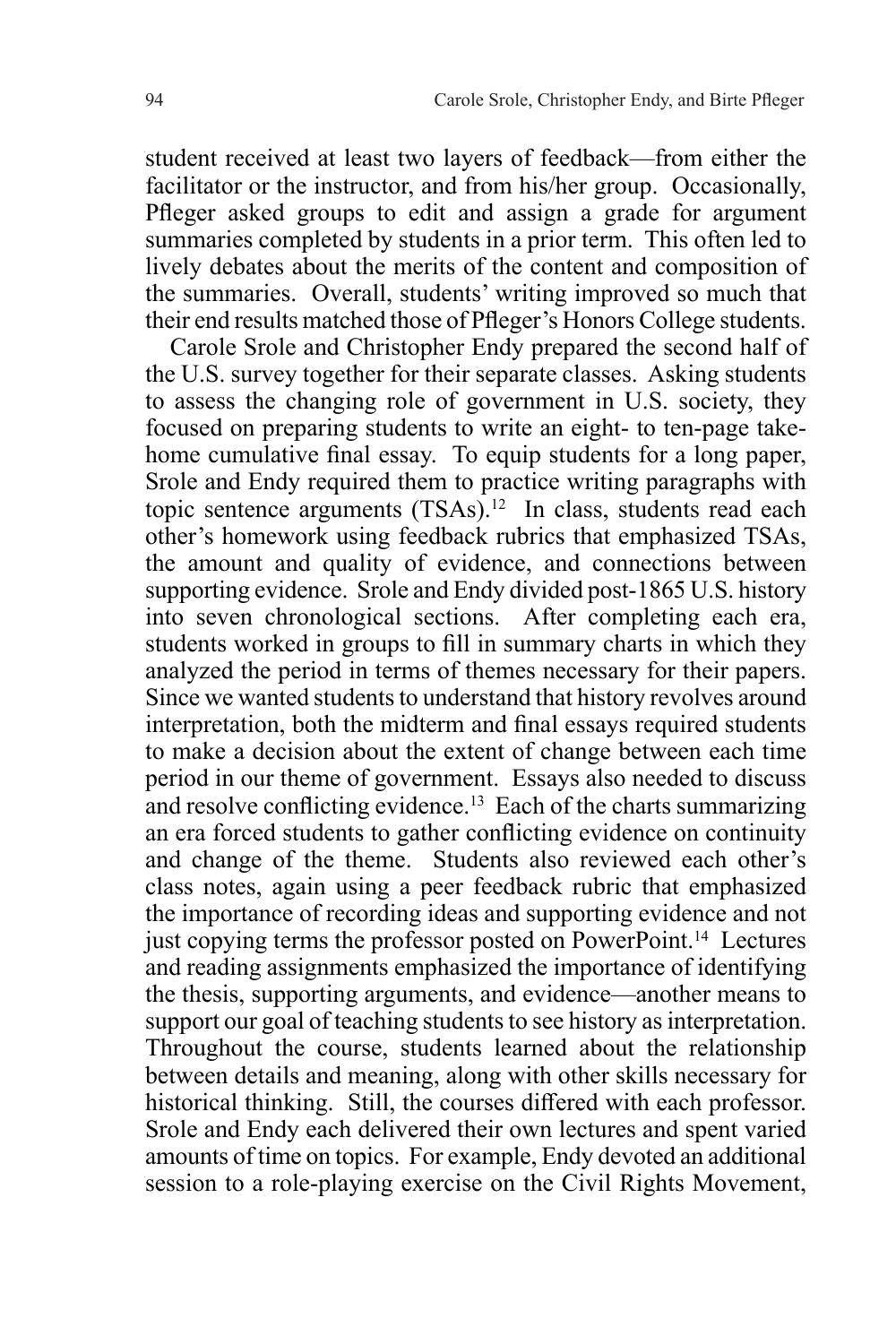student received at least two layers of feedback—from either the facilitator or the instructor, and from his/her group. Occasionally, Pfleger asked groups to edit and assign a grade for argument summaries completed by students in a prior term. This often led to lively debates about the merits of the content and composition of the summaries. Overall, students' writing improved so much that their end results matched those of Pfleger's Honors College students.

Carole Srole and Christopher Endy prepared the second half of the U.S. survey together for their separate classes. Asking students to assess the changing role of government in U.S. society, they focused on preparing students to write an eight- to ten-page takehome cumulative final essay. To equip students for a long paper, Srole and Endy required them to practice writing paragraphs with topic sentence arguments (TSAs).<sup>12</sup> In class, students read each other's homework using feedback rubrics that emphasized TSAs, the amount and quality of evidence, and connections between supporting evidence. Srole and Endy divided post-1865 U.S. history into seven chronological sections. After completing each era, students worked in groups to fill in summary charts in which they analyzed the period in terms of themes necessary for their papers. Since we wanted students to understand that history revolves around interpretation, both the midterm and final essays required students to make a decision about the extent of change between each time period in our theme of government. Essays also needed to discuss and resolve conflicting evidence.13 Each of the charts summarizing an era forced students to gather conflicting evidence on continuity and change of the theme. Students also reviewed each other's class notes, again using a peer feedback rubric that emphasized the importance of recording ideas and supporting evidence and not just copying terms the professor posted on PowerPoint.14 Lectures and reading assignments emphasized the importance of identifying the thesis, supporting arguments, and evidence—another means to support our goal of teaching students to see history as interpretation. Throughout the course, students learned about the relationship between details and meaning, along with other skills necessary for historical thinking. Still, the courses differed with each professor. Srole and Endy each delivered their own lectures and spent varied amounts of time on topics. For example, Endy devoted an additional session to a role-playing exercise on the Civil Rights Movement,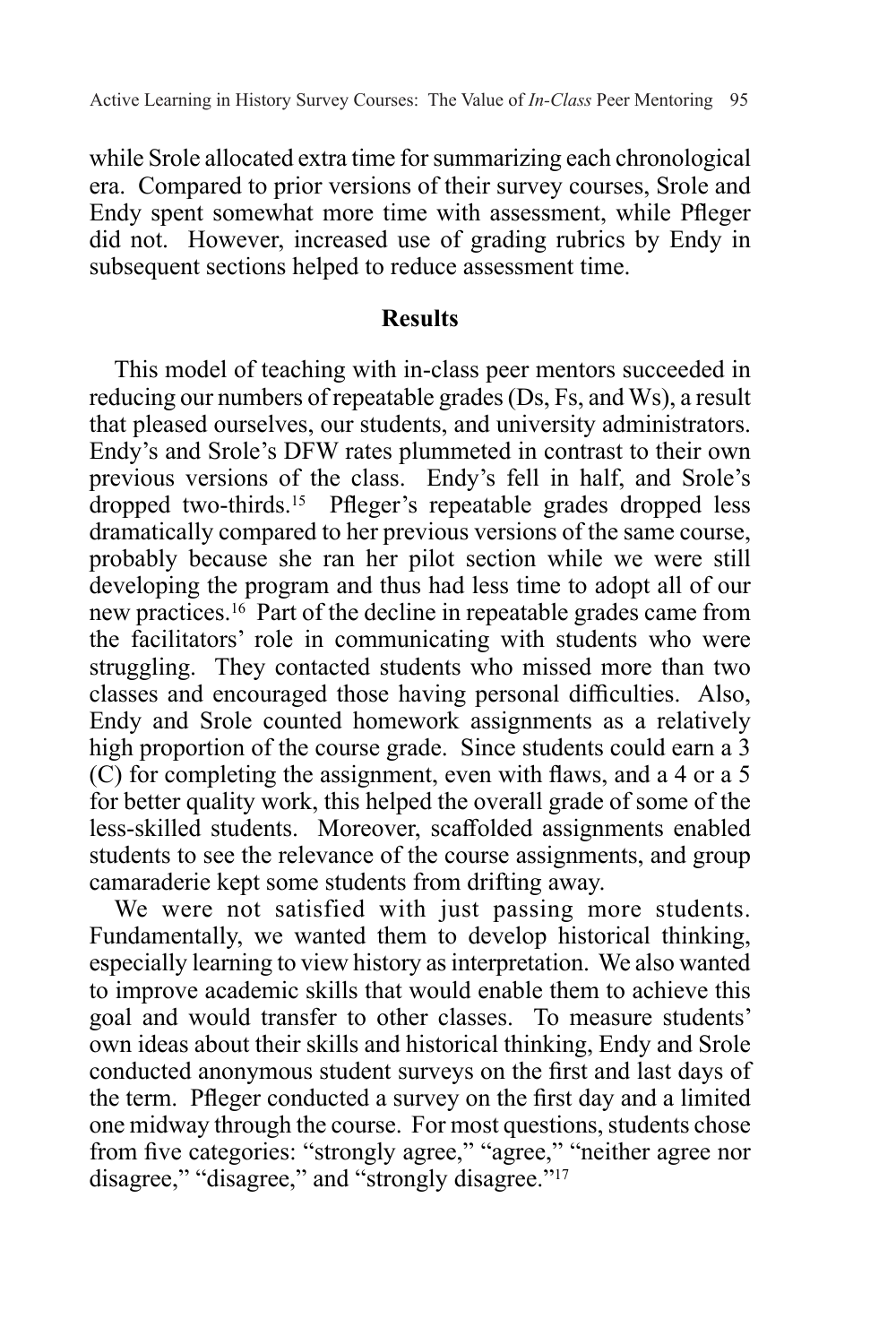while Srole allocated extra time for summarizing each chronological era. Compared to prior versions of their survey courses, Srole and Endy spent somewhat more time with assessment, while Pfleger did not. However, increased use of grading rubrics by Endy in subsequent sections helped to reduce assessment time.

### **Results**

This model of teaching with in-class peer mentors succeeded in reducing our numbers of repeatable grades (Ds, Fs, and Ws), a result that pleased ourselves, our students, and university administrators. Endy's and Srole's DFW rates plummeted in contrast to their own previous versions of the class. Endy's fell in half, and Srole's dropped two-thirds.15 Pfleger's repeatable grades dropped less dramatically compared to her previous versions of the same course, probably because she ran her pilot section while we were still developing the program and thus had less time to adopt all of our new practices.16 Part of the decline in repeatable grades came from the facilitators' role in communicating with students who were struggling. They contacted students who missed more than two classes and encouraged those having personal difficulties. Also, Endy and Srole counted homework assignments as a relatively high proportion of the course grade. Since students could earn a 3 (C) for completing the assignment, even with flaws, and a 4 or a 5 for better quality work, this helped the overall grade of some of the less-skilled students. Moreover, scaffolded assignments enabled students to see the relevance of the course assignments, and group camaraderie kept some students from drifting away.

We were not satisfied with just passing more students. Fundamentally, we wanted them to develop historical thinking, especially learning to view history as interpretation. We also wanted to improve academic skills that would enable them to achieve this goal and would transfer to other classes. To measure students' own ideas about their skills and historical thinking, Endy and Srole conducted anonymous student surveys on the first and last days of the term. Pfleger conducted a survey on the first day and a limited one midway through the course. For most questions, students chose from five categories: "strongly agree," "agree," "neither agree nor disagree," "disagree," and "strongly disagree."<sup>17</sup>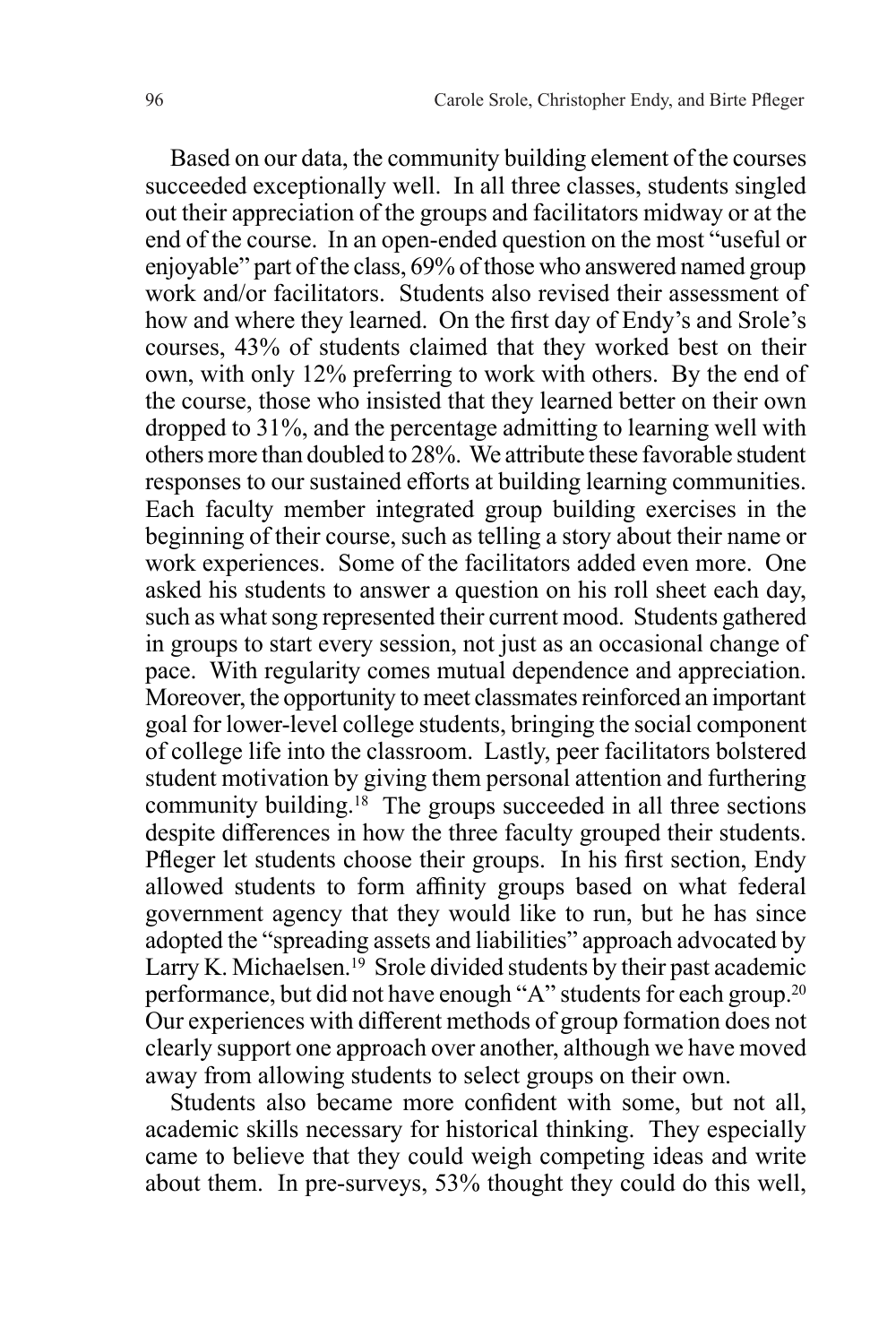Based on our data, the community building element of the courses succeeded exceptionally well. In all three classes, students singled out their appreciation of the groups and facilitators midway or at the end of the course. In an open-ended question on the most "useful or enjoyable" part of the class, 69% of those who answered named group work and/or facilitators. Students also revised their assessment of how and where they learned. On the first day of Endy's and Srole's courses, 43% of students claimed that they worked best on their own, with only 12% preferring to work with others. By the end of the course, those who insisted that they learned better on their own dropped to 31%, and the percentage admitting to learning well with others more than doubled to 28%. We attribute these favorable student responses to our sustained efforts at building learning communities. Each faculty member integrated group building exercises in the beginning of their course, such as telling a story about their name or work experiences. Some of the facilitators added even more. One asked his students to answer a question on his roll sheet each day, such as what song represented their current mood. Students gathered in groups to start every session, not just as an occasional change of pace. With regularity comes mutual dependence and appreciation. Moreover, the opportunity to meet classmates reinforced an important goal for lower-level college students, bringing the social component of college life into the classroom. Lastly, peer facilitators bolstered student motivation by giving them personal attention and furthering community building.18 The groups succeeded in all three sections despite differences in how the three faculty grouped their students. Pfleger let students choose their groups. In his first section, Endy allowed students to form affinity groups based on what federal government agency that they would like to run, but he has since adopted the "spreading assets and liabilities" approach advocated by Larry K. Michaelsen.<sup>19</sup> Srole divided students by their past academic performance, but did not have enough "A" students for each group.20 Our experiences with different methods of group formation does not clearly support one approach over another, although we have moved away from allowing students to select groups on their own.

Students also became more confident with some, but not all, academic skills necessary for historical thinking. They especially came to believe that they could weigh competing ideas and write about them. In pre-surveys, 53% thought they could do this well,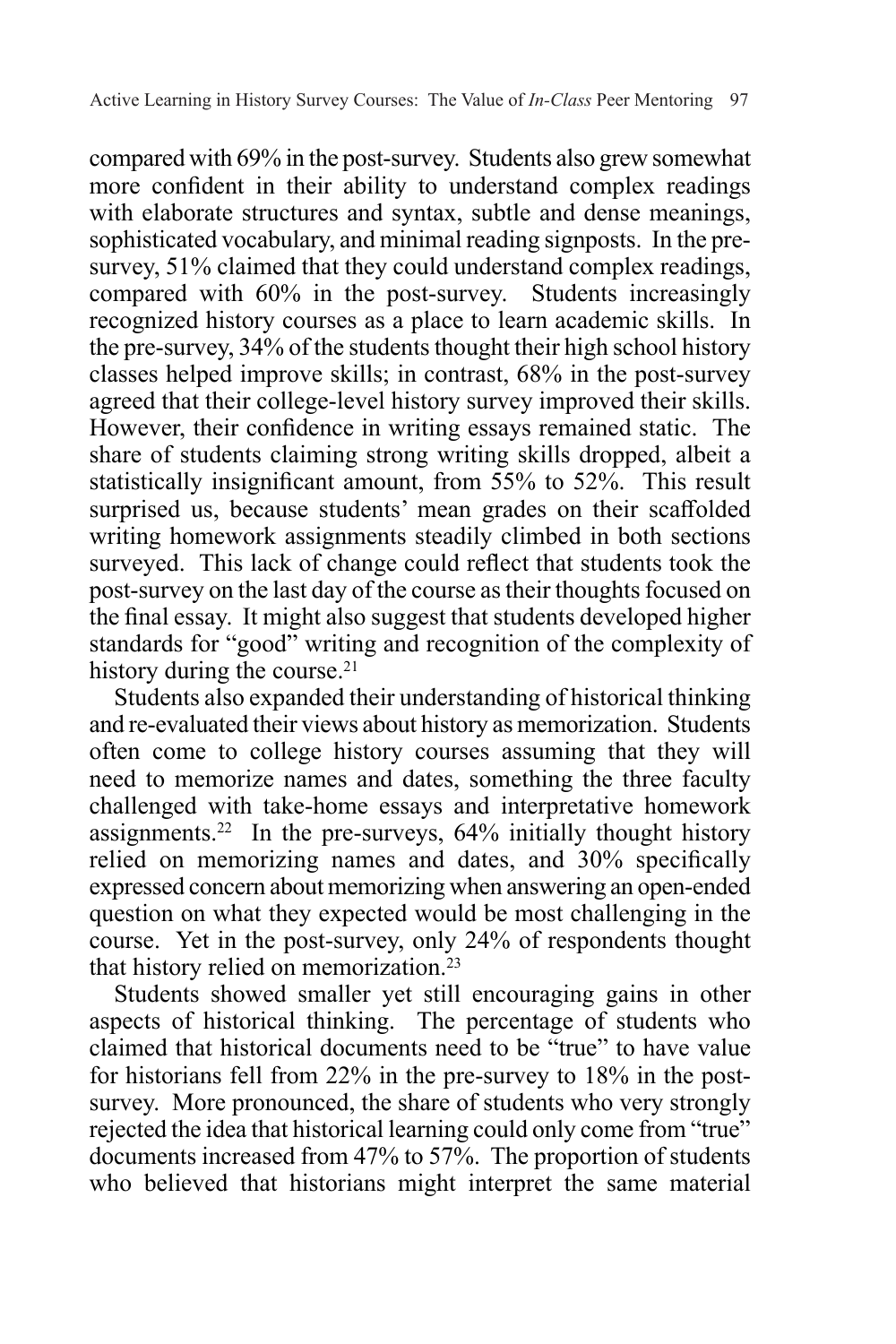compared with 69% in the post-survey. Students also grew somewhat more confident in their ability to understand complex readings with elaborate structures and syntax, subtle and dense meanings, sophisticated vocabulary, and minimal reading signposts. In the presurvey, 51% claimed that they could understand complex readings, compared with 60% in the post-survey. Students increasingly recognized history courses as a place to learn academic skills. In the pre-survey, 34% of the students thought their high school history classes helped improve skills; in contrast, 68% in the post-survey agreed that their college-level history survey improved their skills. However, their confidence in writing essays remained static. The share of students claiming strong writing skills dropped, albeit a statistically insignificant amount, from 55% to 52%. This result surprised us, because students' mean grades on their scaffolded writing homework assignments steadily climbed in both sections surveyed. This lack of change could reflect that students took the post-survey on the last day of the course as their thoughts focused on the final essay. It might also suggest that students developed higher standards for "good" writing and recognition of the complexity of history during the course.<sup>21</sup>

Students also expanded their understanding of historical thinking and re-evaluated their views about history as memorization. Students often come to college history courses assuming that they will need to memorize names and dates, something the three faculty challenged with take-home essays and interpretative homework assignments.<sup>22</sup> In the pre-surveys,  $64\%$  initially thought history relied on memorizing names and dates, and 30% specifically expressed concern about memorizing when answering an open-ended question on what they expected would be most challenging in the course. Yet in the post-survey, only 24% of respondents thought that history relied on memorization.23

Students showed smaller yet still encouraging gains in other aspects of historical thinking. The percentage of students who claimed that historical documents need to be "true" to have value for historians fell from 22% in the pre-survey to 18% in the postsurvey. More pronounced, the share of students who very strongly rejected the idea that historical learning could only come from "true" documents increased from 47% to 57%. The proportion of students who believed that historians might interpret the same material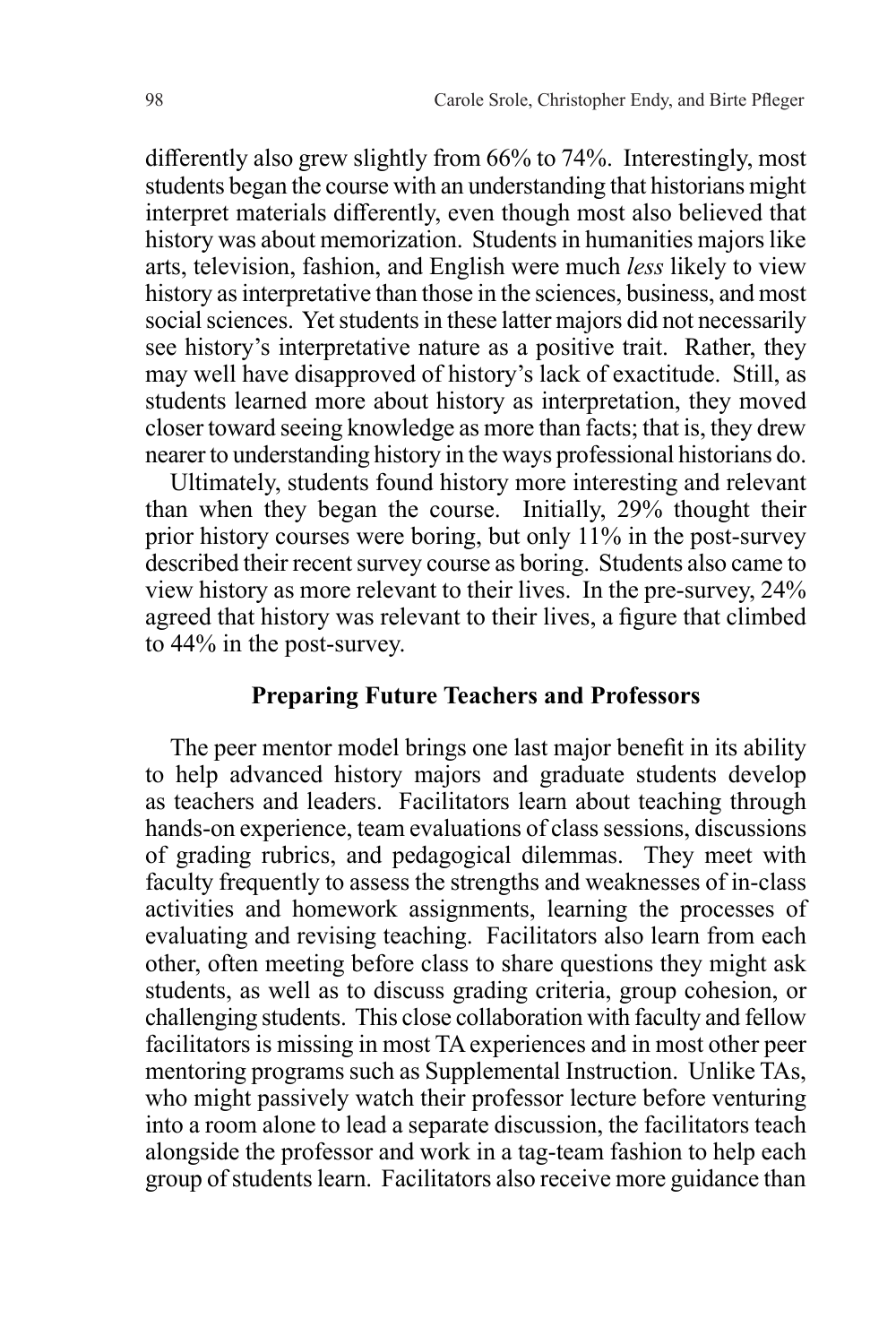differently also grew slightly from 66% to 74%. Interestingly, most students began the course with an understanding that historians might interpret materials differently, even though most also believed that history was about memorization. Students in humanities majors like arts, television, fashion, and English were much *less* likely to view history as interpretative than those in the sciences, business, and most social sciences. Yet students in these latter majors did not necessarily see history's interpretative nature as a positive trait. Rather, they may well have disapproved of history's lack of exactitude. Still, as students learned more about history as interpretation, they moved closer toward seeing knowledge as more than facts; that is, they drew nearer to understanding history in the ways professional historians do.

Ultimately, students found history more interesting and relevant than when they began the course. Initially, 29% thought their prior history courses were boring, but only 11% in the post-survey described their recent survey course as boring. Students also came to view history as more relevant to their lives. In the pre-survey, 24% agreed that history was relevant to their lives, a figure that climbed to 44% in the post-survey.

## **Preparing Future Teachers and Professors**

The peer mentor model brings one last major benefit in its ability to help advanced history majors and graduate students develop as teachers and leaders. Facilitators learn about teaching through hands-on experience, team evaluations of class sessions, discussions of grading rubrics, and pedagogical dilemmas. They meet with faculty frequently to assess the strengths and weaknesses of in-class activities and homework assignments, learning the processes of evaluating and revising teaching. Facilitators also learn from each other, often meeting before class to share questions they might ask students, as well as to discuss grading criteria, group cohesion, or challenging students. This close collaboration with faculty and fellow facilitators is missing in most TA experiences and in most other peer mentoring programs such as Supplemental Instruction. Unlike TAs, who might passively watch their professor lecture before venturing into a room alone to lead a separate discussion, the facilitators teach alongside the professor and work in a tag-team fashion to help each group of students learn. Facilitators also receive more guidance than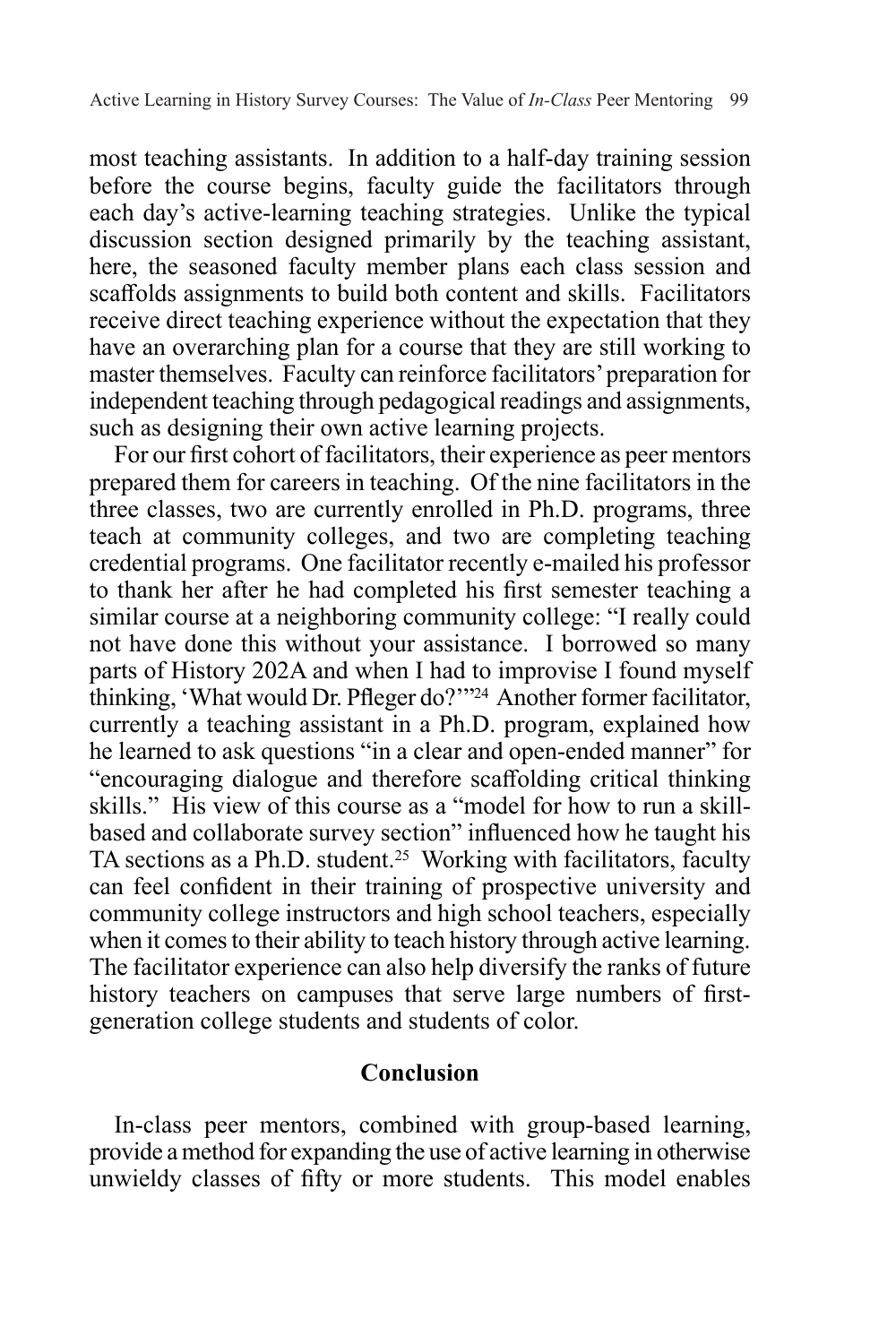most teaching assistants. In addition to a half-day training session before the course begins, faculty guide the facilitators through each day's active-learning teaching strategies. Unlike the typical discussion section designed primarily by the teaching assistant, here, the seasoned faculty member plans each class session and scaffolds assignments to build both content and skills. Facilitators receive direct teaching experience without the expectation that they have an overarching plan for a course that they are still working to master themselves. Faculty can reinforce facilitators' preparation for independent teaching through pedagogical readings and assignments, such as designing their own active learning projects.

For our first cohort of facilitators, their experience as peer mentors prepared them for careers in teaching. Of the nine facilitators in the three classes, two are currently enrolled in Ph.D. programs, three teach at community colleges, and two are completing teaching credential programs. One facilitator recently e-mailed his professor to thank her after he had completed his first semester teaching a similar course at a neighboring community college: "I really could not have done this without your assistance. I borrowed so many parts of History 202A and when I had to improvise I found myself thinking, 'What would Dr. Pfleger do?'"24 Another former facilitator, currently a teaching assistant in a Ph.D. program, explained how he learned to ask questions "in a clear and open-ended manner" for "encouraging dialogue and therefore scaffolding critical thinking skills." His view of this course as a "model for how to run a skillbased and collaborate survey section" influenced how he taught his TA sections as a Ph.D. student.<sup>25</sup> Working with facilitators, faculty can feel confident in their training of prospective university and community college instructors and high school teachers, especially when it comes to their ability to teach history through active learning. The facilitator experience can also help diversify the ranks of future history teachers on campuses that serve large numbers of firstgeneration college students and students of color.

### **Conclusion**

In-class peer mentors, combined with group-based learning, provide a method for expanding the use of active learning in otherwise unwieldy classes of fifty or more students. This model enables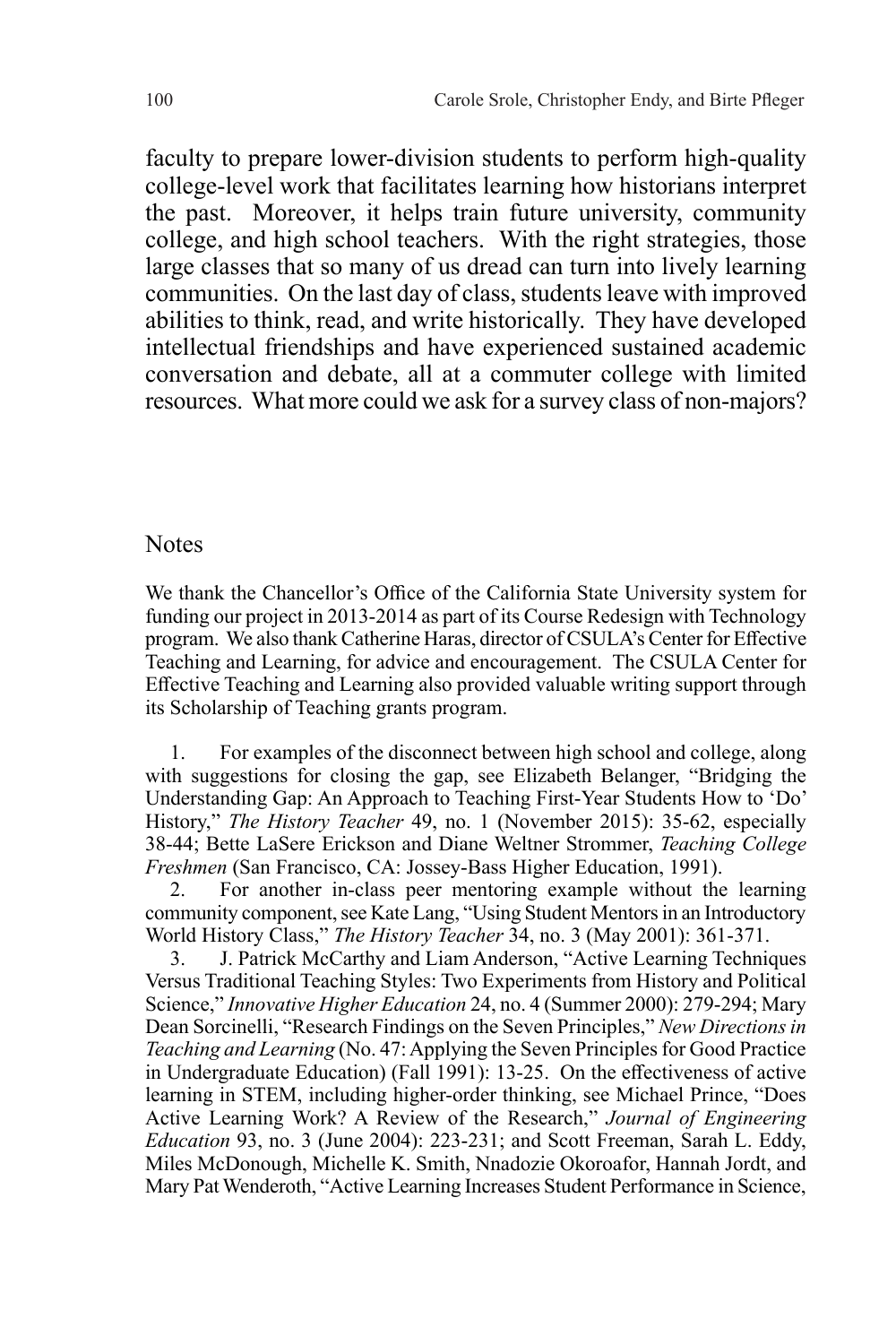faculty to prepare lower-division students to perform high-quality college-level work that facilitates learning how historians interpret the past. Moreover, it helps train future university, community college, and high school teachers. With the right strategies, those large classes that so many of us dread can turn into lively learning communities. On the last day of class, students leave with improved abilities to think, read, and write historically. They have developed intellectual friendships and have experienced sustained academic conversation and debate, all at a commuter college with limited resources. What more could we ask for a survey class of non-majors?

#### **Notes**

We thank the Chancellor's Office of the California State University system for funding our project in 2013-2014 as part of its Course Redesign with Technology program. We also thank Catherine Haras, director of CSULA's Center for Effective Teaching and Learning, for advice and encouragement. The CSULA Center for Effective Teaching and Learning also provided valuable writing support through its Scholarship of Teaching grants program.

1. For examples of the disconnect between high school and college, along with suggestions for closing the gap, see Elizabeth Belanger, "Bridging the Understanding Gap: An Approach to Teaching First-Year Students How to 'Do' History," *The History Teacher* 49, no. 1 (November 2015): 35-62, especially 38-44; Bette LaSere Erickson and Diane Weltner Strommer, *Teaching College Freshmen* (San Francisco, CA: Jossey-Bass Higher Education, 1991).

2. For another in-class peer mentoring example without the learning community component, see Kate Lang, "Using Student Mentors in an Introductory World History Class," *The History Teacher* 34, no. 3 (May 2001): 361-371.

3. J. Patrick McCarthy and Liam Anderson, "Active Learning Techniques Versus Traditional Teaching Styles: Two Experiments from History and Political Science," *Innovative Higher Education* 24, no. 4 (Summer 2000): 279-294; Mary Dean Sorcinelli, "Research Findings on the Seven Principles," *New Directions in Teaching and Learning* (No. 47: Applying the Seven Principles for Good Practice in Undergraduate Education) (Fall 1991): 13-25. On the effectiveness of active learning in STEM, including higher-order thinking, see Michael Prince, "Does Active Learning Work? A Review of the Research," *Journal of Engineering Education* 93, no. 3 (June 2004): 223-231; and Scott Freeman, Sarah L. Eddy, Miles McDonough, Michelle K. Smith, Nnadozie Okoroafor, Hannah Jordt, and Mary Pat Wenderoth, "Active Learning Increases Student Performance in Science,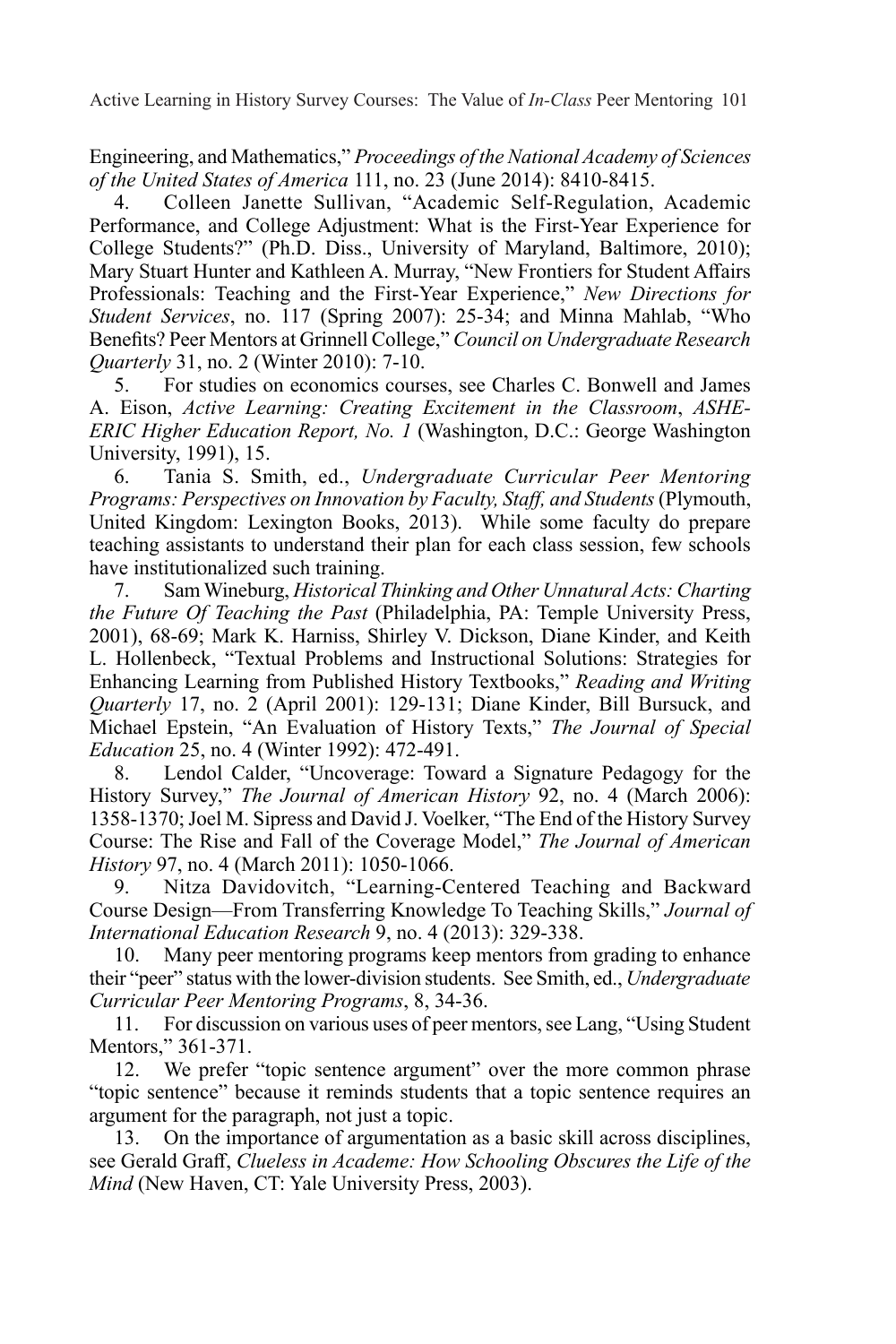Active Learning in History Survey Courses: The Value of *In-Class* Peer Mentoring 101

Engineering, and Mathematics," *Proceedings of the National Academy of Sciences of the United States of America* 111, no. 23 (June 2014): 8410-8415.

4. Colleen Janette Sullivan, "Academic Self-Regulation, Academic Performance, and College Adjustment: What is the First-Year Experience for College Students?" (Ph.D. Diss., University of Maryland, Baltimore, 2010); Mary Stuart Hunter and Kathleen A. Murray, "New Frontiers for Student Affairs Professionals: Teaching and the First-Year Experience," *New Directions for Student Services*, no. 117 (Spring 2007): 25-34; and Minna Mahlab, "Who Benefits? Peer Mentors at Grinnell College," *Council on Undergraduate Research Quarterly* 31, no. 2 (Winter 2010): 7-10.

5. For studies on economics courses, see Charles C. Bonwell and James A. Eison, *Active Learning: Creating Excitement in the Classroom*, *ASHE-ERIC Higher Education Report, No. 1* (Washington, D.C.: George Washington University, 1991), 15.

6. Tania S. Smith, ed., *Undergraduate Curricular Peer Mentoring Programs: Perspectives on Innovation by Faculty, Staff, and Students* (Plymouth, United Kingdom: Lexington Books, 2013). While some faculty do prepare teaching assistants to understand their plan for each class session, few schools have institutionalized such training.

7. Sam Wineburg, *Historical Thinking and Other Unnatural Acts: Charting the Future Of Teaching the Past* (Philadelphia, PA: Temple University Press, 2001), 68-69; Mark K. Harniss, Shirley V. Dickson, Diane Kinder, and Keith L. Hollenbeck, "Textual Problems and Instructional Solutions: Strategies for Enhancing Learning from Published History Textbooks," *Reading and Writing Quarterly* 17, no. 2 (April 2001): 129-131; Diane Kinder, Bill Bursuck, and Michael Epstein, "An Evaluation of History Texts," *The Journal of Special Education* 25, no. 4 (Winter 1992): 472-491.

8. Lendol Calder, "Uncoverage: Toward a Signature Pedagogy for the History Survey," *The Journal of American History* 92, no. 4 (March 2006): 1358-1370; Joel M. Sipress and David J. Voelker, "The End of the History Survey Course: The Rise and Fall of the Coverage Model," *The Journal of American History* 97, no. 4 (March 2011): 1050-1066.

9. Nitza Davidovitch, "Learning-Centered Teaching and Backward Course Design—From Transferring Knowledge To Teaching Skills," *Journal of International Education Research* 9, no. 4 (2013): 329-338.

10. Many peer mentoring programs keep mentors from grading to enhance their "peer" status with the lower-division students. See Smith, ed., *Undergraduate Curricular Peer Mentoring Programs*, 8, 34-36.

11. For discussion on various uses of peer mentors, see Lang, "Using Student Mentors," 361-371.

12. We prefer "topic sentence argument" over the more common phrase "topic sentence" because it reminds students that a topic sentence requires an argument for the paragraph, not just a topic.

13. On the importance of argumentation as a basic skill across disciplines, see Gerald Graff, *Clueless in Academe: How Schooling Obscures the Life of the Mind* (New Haven, CT: Yale University Press, 2003).